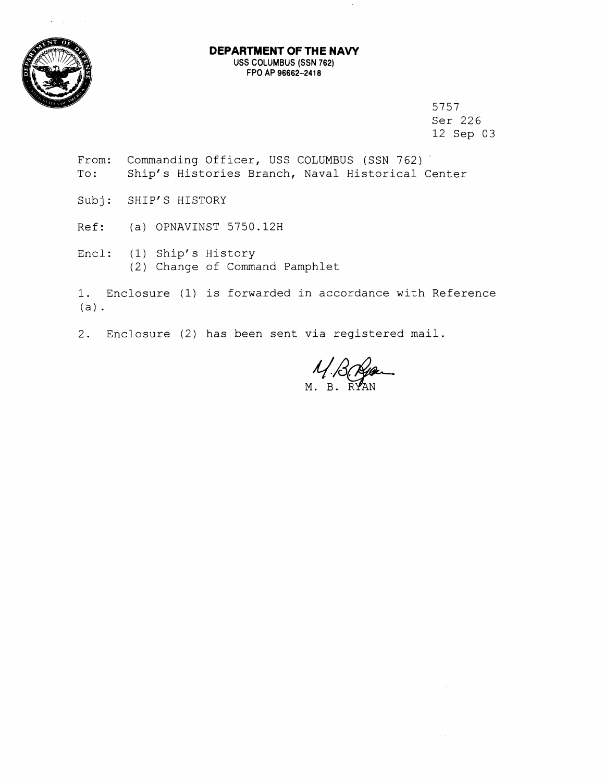

## **DEPARTMENT OF THE NAW**  USS COLUMBUS (SSN **762)**  FPO AP **96662-2418**

5757 Ser 226 12 Sep 03

- From: Commanding Officer, USS COLUMBUS (SSN 762) To: Ship's Histories Branch, Naval Historical Center
- Subj: SHIP'S HISTORY
- Ref: (a) OPNAVINST 5750.128
- Encl: (1) Ship's History (2) Change of Command Pamphlet

1. Enclosure (1) is forwarded in accordance with Reference (a).

2. Enclosure (2) has been sent via registered mail.